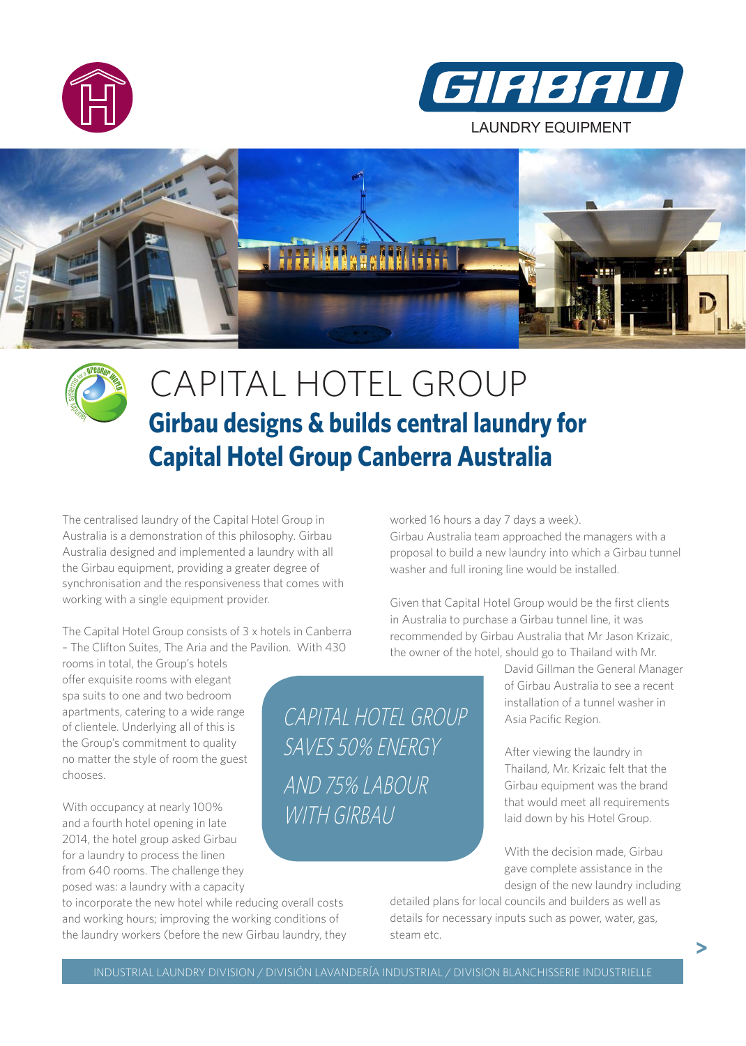



LAUNDRY EQUIPMENT





## CAPITAL HOTEL GROUP **Girbau designs & builds central laundry for Capital Hotel Group Canberra Australia**

The centralised laundry of the Capital Hotel Group in Australia is a demonstration of this philosophy. Girbau Australia designed and implemented a laundry with all the Girbau equipment, providing a greater degree of synchronisation and the responsiveness that comes with working with a single equipment provider.

The Capital Hotel Group consists of 3 x hotels in Canberra – The Clifton Suites, The Aria and the Pavilion. With 430

rooms in total, the Group's hotels offer exquisite rooms with elegant spa suits to one and two bedroom apartments, catering to a wide range of clientele. Underlying all of this is the Group's commitment to quality no matter the style of room the guest chooses.

With occupancy at nearly 100% and a fourth hotel opening in late 2014, the hotel group asked Girbau for a laundry to process the linen from 640 rooms. The challenge they posed was: a laundry with a capacity

to incorporate the new hotel while reducing overall costs and working hours; improving the working conditions of the laundry workers (before the new Girbau laundry, they worked 16 hours a day 7 days a week). Girbau Australia team approached the managers with a proposal to build a new laundry into which a Girbau tunnel washer and full ironing line would be installed.

Given that Capital Hotel Group would be the first clients in Australia to purchase a Girbau tunnel line, it was recommended by Girbau Australia that Mr Jason Krizaic, the owner of the hotel, should go to Thailand with Mr.

> David Gillman the General Manager of Girbau Australia to see a recent installation of a tunnel washer in Asia Pacific Region.

After viewing the laundry in Thailand, Mr. Krizaic felt that the Girbau equipment was the brand that would meet all requirements laid down by his Hotel Group.

With the decision made, Girbau gave complete assistance in the design of the new laundry including

**>**

detailed plans for local councils and builders as well as details for necessary inputs such as power, water, gas, steam etc.

CAPITAL HOTEL GROUP

SAVES 50% ENERGY

AND 75% LABOUR

WITH GIRBAU

.